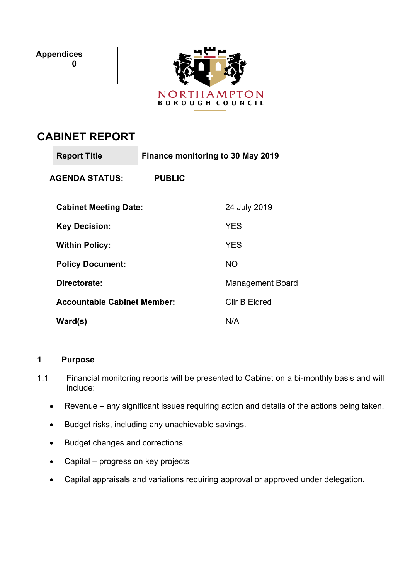**Appendices 0**



# **CABINET REPORT**

| <b>Report Title</b>                | Finance monitoring to 30 May 2019 |                         |
|------------------------------------|-----------------------------------|-------------------------|
| AGENDA STATUS:                     | <b>PUBLIC</b>                     |                         |
| <b>Cabinet Meeting Date:</b>       |                                   | 24 July 2019            |
| <b>Key Decision:</b>               |                                   | <b>YES</b>              |
| <b>Within Policy:</b>              |                                   | <b>YES</b>              |
| <b>Policy Document:</b>            |                                   | <b>NO</b>               |
| Directorate:                       |                                   | <b>Management Board</b> |
| <b>Accountable Cabinet Member:</b> |                                   | <b>Cllr B Eldred</b>    |
| Ward(s)                            |                                   | N/A                     |

# **1 Purpose**

- 1.1 Financial monitoring reports will be presented to Cabinet on a bi-monthly basis and will include:
	- Revenue any significant issues requiring action and details of the actions being taken.
	- Budget risks, including any unachievable savings.
	- Budget changes and corrections
	- Capital progress on key projects
	- Capital appraisals and variations requiring approval or approved under delegation.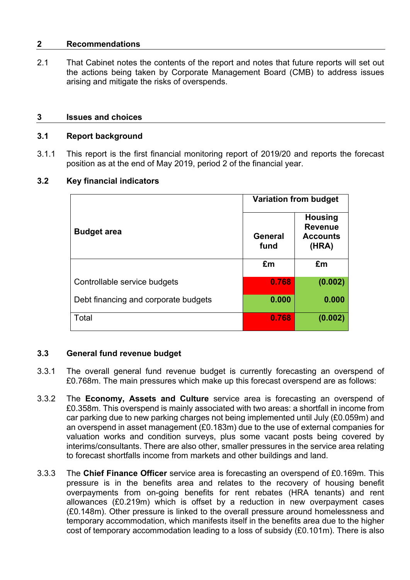#### **2 Recommendations**

2.1 That Cabinet notes the contents of the report and notes that future reports will set out the actions being taken by Corporate Management Board (CMB) to address issues arising and mitigate the risks of overspends.

#### **3 Issues and choices**

#### **3.1 Report background**

3.1.1 This report is the first financial monitoring report of 2019/20 and reports the forecast position as at the end of May 2019, period 2 of the financial year.

# **3.2 Key financial indicators**

|                                      | <b>Variation from budget</b> |                                                              |  |
|--------------------------------------|------------------------------|--------------------------------------------------------------|--|
| <b>Budget area</b>                   | General<br>fund              | <b>Housing</b><br><b>Revenue</b><br><b>Accounts</b><br>(HRA) |  |
|                                      | £m                           | £m                                                           |  |
| Controllable service budgets         | 0.768                        | (0.002)                                                      |  |
| Debt financing and corporate budgets | 0.000                        | 0.000                                                        |  |
| Total                                | 0.768                        | (0.002)                                                      |  |

# **3.3 General fund revenue budget**

- 3.3.1 The overall general fund revenue budget is currently forecasting an overspend of £0.768m. The main pressures which make up this forecast overspend are as follows:
- 3.3.2 The **Economy, Assets and Culture** service area is forecasting an overspend of £0.358m. This overspend is mainly associated with two areas: a shortfall in income from car parking due to new parking charges not being implemented until July (£0.059m) and an overspend in asset management (£0.183m) due to the use of external companies for valuation works and condition surveys, plus some vacant posts being covered by interims/consultants. There are also other, smaller pressures in the service area relating to forecast shortfalls income from markets and other buildings and land.
- 3.3.3 The **Chief Finance Officer** service area is forecasting an overspend of £0.169m. This pressure is in the benefits area and relates to the recovery of housing benefit overpayments from on-going benefits for rent rebates (HRA tenants) and rent allowances (£0.219m) which is offset by a reduction in new overpayment cases (£0.148m). Other pressure is linked to the overall pressure around homelessness and temporary accommodation, which manifests itself in the benefits area due to the higher cost of temporary accommodation leading to a loss of subsidy (£0.101m). There is also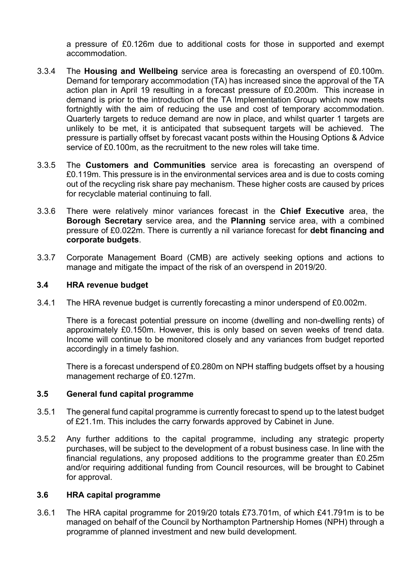a pressure of £0.126m due to additional costs for those in supported and exempt accommodation.

- 3.3.4 The **Housing and Wellbeing** service area is forecasting an overspend of £0.100m. Demand for temporary accommodation (TA) has increased since the approval of the TA action plan in April 19 resulting in a forecast pressure of £0.200m. This increase in demand is prior to the introduction of the TA Implementation Group which now meets fortnightly with the aim of reducing the use and cost of temporary accommodation. Quarterly targets to reduce demand are now in place, and whilst quarter 1 targets are unlikely to be met, it is anticipated that subsequent targets will be achieved. The pressure is partially offset by forecast vacant posts within the Housing Options & Advice service of £0.100m, as the recruitment to the new roles will take time.
- 3.3.5 The **Customers and Communities** service area is forecasting an overspend of £0.119m. This pressure is in the environmental services area and is due to costs coming out of the recycling risk share pay mechanism. These higher costs are caused by prices for recyclable material continuing to fall.
- 3.3.6 There were relatively minor variances forecast in the **Chief Executive** area, the **Borough Secretary** service area, and the **Planning** service area, with a combined pressure of £0.022m. There is currently a nil variance forecast for **debt financing and corporate budgets**.
- 3.3.7 Corporate Management Board (CMB) are actively seeking options and actions to manage and mitigate the impact of the risk of an overspend in 2019/20.

# **3.4 HRA revenue budget**

3.4.1 The HRA revenue budget is currently forecasting a minor underspend of £0.002m.

There is a forecast potential pressure on income (dwelling and non-dwelling rents) of approximately £0.150m. However, this is only based on seven weeks of trend data. Income will continue to be monitored closely and any variances from budget reported accordingly in a timely fashion.

There is a forecast underspend of £0.280m on NPH staffing budgets offset by a housing management recharge of £0.127m.

# **3.5 General fund capital programme**

- 3.5.1 The general fund capital programme is currently forecast to spend up to the latest budget of £21.1m. This includes the carry forwards approved by Cabinet in June.
- 3.5.2 Any further additions to the capital programme, including any strategic property purchases, will be subject to the development of a robust business case. In line with the financial regulations, any proposed additions to the programme greater than £0.25m and/or requiring additional funding from Council resources, will be brought to Cabinet for approval.

# **3.6 HRA capital programme**

3.6.1 The HRA capital programme for 2019/20 totals £73.701m, of which £41.791m is to be managed on behalf of the Council by Northampton Partnership Homes (NPH) through a programme of planned investment and new build development.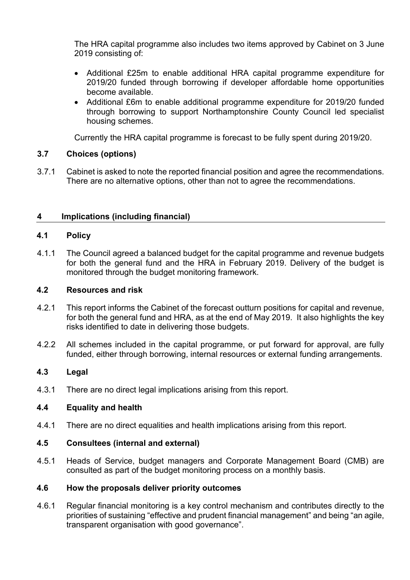The HRA capital programme also includes two items approved by Cabinet on 3 June 2019 consisting of:

- Additional £25m to enable additional HRA capital programme expenditure for 2019/20 funded through borrowing if developer affordable home opportunities become available.
- Additional £6m to enable additional programme expenditure for 2019/20 funded through borrowing to support Northamptonshire County Council led specialist housing schemes.

Currently the HRA capital programme is forecast to be fully spent during 2019/20.

# **3.7 Choices (options)**

3.7.1 Cabinet is asked to note the reported financial position and agree the recommendations. There are no alternative options, other than not to agree the recommendations.

# **4 Implications (including financial)**

# **4.1 Policy**

4.1.1 The Council agreed a balanced budget for the capital programme and revenue budgets for both the general fund and the HRA in February 2019. Delivery of the budget is monitored through the budget monitoring framework.

# **4.2 Resources and risk**

- 4.2.1 This report informs the Cabinet of the forecast outturn positions for capital and revenue, for both the general fund and HRA, as at the end of May 2019. It also highlights the key risks identified to date in delivering those budgets.
- 4.2.2 All schemes included in the capital programme, or put forward for approval, are fully funded, either through borrowing, internal resources or external funding arrangements.

# **4.3 Legal**

4.3.1 There are no direct legal implications arising from this report.

# **4.4 Equality and health**

4.4.1 There are no direct equalities and health implications arising from this report.

# **4.5 Consultees (internal and external)**

4.5.1 Heads of Service, budget managers and Corporate Management Board (CMB) are consulted as part of the budget monitoring process on a monthly basis.

# **4.6 How the proposals deliver priority outcomes**

4.6.1 Regular financial monitoring is a key control mechanism and contributes directly to the priorities of sustaining "effective and prudent financial management" and being "an agile, transparent organisation with good governance".